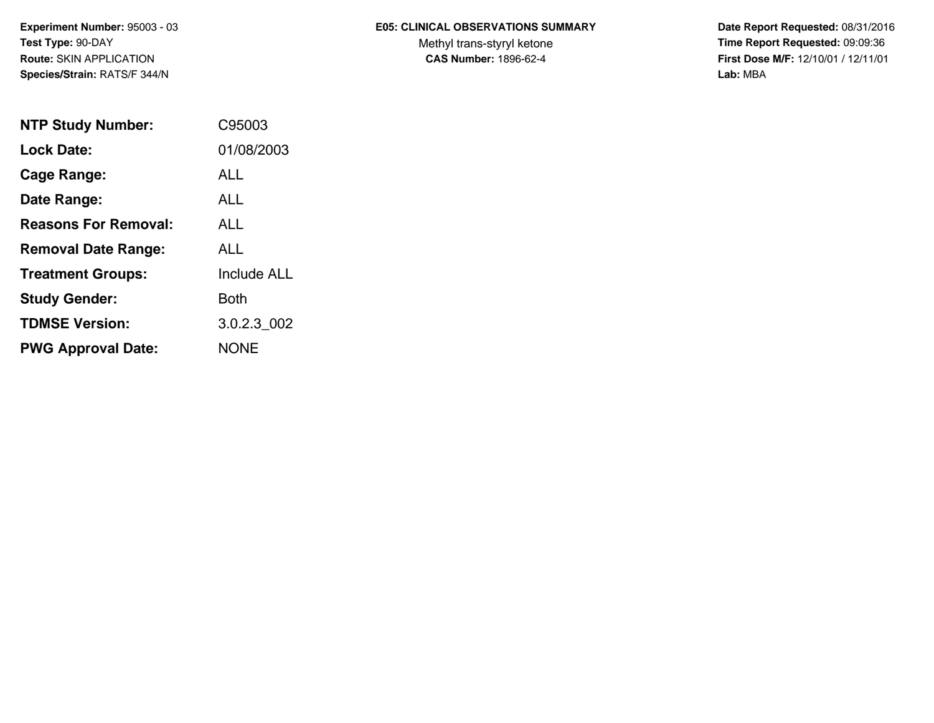# **E05: CLINICAL OBSERVATIONS SUMMARY**

Methyl trans-styryl ketone<br>CAS Number: 1896-62-4

 **Date Report Requested:** 08/31/2016 **Time Report Requested:** 09:09:36 **First Dose M/F:** 12/10/01 / 12/11/01<br>Lab: MBA **Lab:** MBA

| <b>NTP Study Number:</b>    | C95003             |
|-----------------------------|--------------------|
| Lock Date:                  | 01/08/2003         |
| Cage Range:                 | ALL                |
| Date Range:                 | AI I               |
| <b>Reasons For Removal:</b> | <b>ALL</b>         |
| <b>Removal Date Range:</b>  | ALL                |
| <b>Treatment Groups:</b>    | <b>Include ALL</b> |
| <b>Study Gender:</b>        | Both               |
| <b>TDMSE Version:</b>       | 3.0.2.3 002        |
| <b>PWG Approval Date:</b>   | <b>NONE</b>        |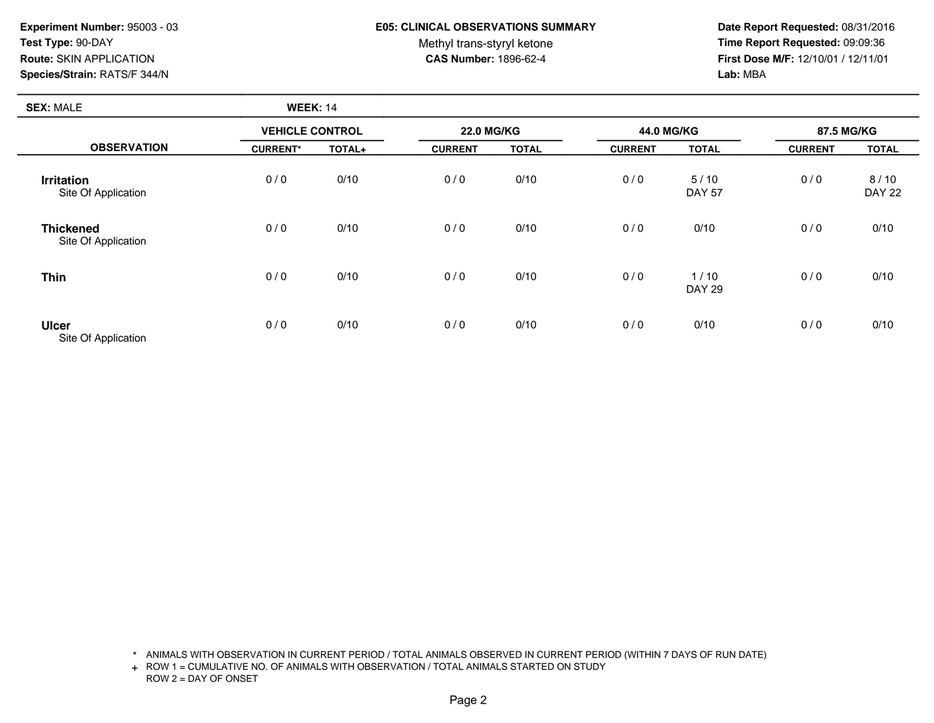## **E05: CLINICAL OBSERVATIONS SUMMARY**

Methyl trans-styryl ketone<br>CAS Number: 1896-62-4

 **Date Report Requested:** 08/31/2016 **Time Report Requested:** 09:09:36 **First Dose M/F:** 12/10/01 / 12/11/01<br>Lab: MBA **Lab:** MBA

| <b>SEX: MALE</b>                         | <b>WEEK: 14</b>        |        |                |                   |                |                       |                |                       |
|------------------------------------------|------------------------|--------|----------------|-------------------|----------------|-----------------------|----------------|-----------------------|
| <b>OBSERVATION</b>                       | <b>VEHICLE CONTROL</b> |        |                | <b>22.0 MG/KG</b> |                | 44.0 MG/KG            |                | 87.5 MG/KG            |
|                                          | <b>CURRENT*</b>        | TOTAL+ | <b>CURRENT</b> | <b>TOTAL</b>      | <b>CURRENT</b> | <b>TOTAL</b>          | <b>CURRENT</b> | <b>TOTAL</b>          |
| <b>Irritation</b><br>Site Of Application | 0/0                    | 0/10   | 0/0            | 0/10              | 0/0            | 5/10<br><b>DAY 57</b> | 0/0            | 8/10<br><b>DAY 22</b> |
| <b>Thickened</b><br>Site Of Application  | 0/0                    | 0/10   | 0/0            | 0/10              | 0/0            | 0/10                  | 0/0            | 0/10                  |
| <b>Thin</b>                              | 0/0                    | 0/10   | 0/0            | 0/10              | 0/0            | 1/10<br><b>DAY 29</b> | 0/0            | 0/10                  |
| <b>Ulcer</b><br>Site Of Application      | 0/0                    | 0/10   | 0/0            | 0/10              | 0/0            | 0/10                  | 0/0            | 0/10                  |

\* ANIMALS WITH OBSERVATION IN CURRENT PERIOD / TOTAL ANIMALS OBSERVED IN CURRENT PERIOD (WITHIN 7 DAYS OF RUN DATE)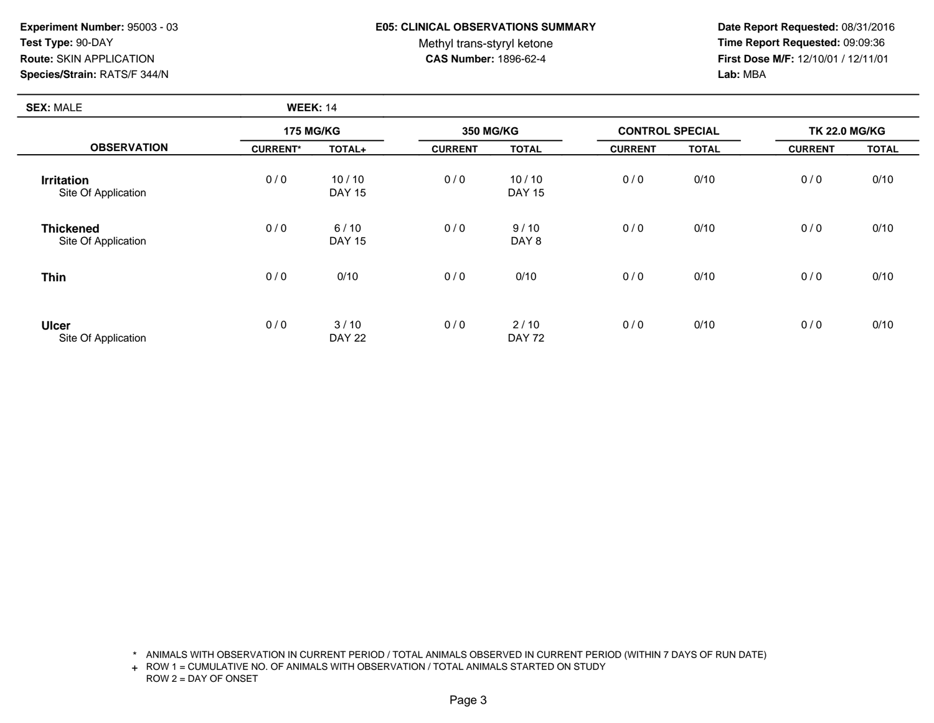**SEX:** MALE

#### **E05: CLINICAL OBSERVATIONS SUMMARY**

Methyl trans-styryl ketone<br>CAS Number: 1896-62-4

 **Date Report Requested:** 08/31/2016 **Time Report Requested:** 09:09:36 **First Dose M/F:** 12/10/01 / 12/11/01<br>Lab: MBA **Lab:** MBA

| <b>SEX: MALE</b>                         | <b>WEEK: 14</b>  |                         |                  |                        |                        |              |                      |              |
|------------------------------------------|------------------|-------------------------|------------------|------------------------|------------------------|--------------|----------------------|--------------|
| <b>OBSERVATION</b>                       | <b>175 MG/KG</b> |                         | <b>350 MG/KG</b> |                        | <b>CONTROL SPECIAL</b> |              | <b>TK 22.0 MG/KG</b> |              |
|                                          | <b>CURRENT*</b>  | TOTAL+                  | <b>CURRENT</b>   | <b>TOTAL</b>           | <b>CURRENT</b>         | <b>TOTAL</b> | <b>CURRENT</b>       | <b>TOTAL</b> |
| <b>Irritation</b><br>Site Of Application | 0/0              | 10/10<br><b>DAY 15</b>  | 0/0              | 10/10<br><b>DAY 15</b> | 0/0                    | 0/10         | 0/0                  | 0/10         |
| <b>Thickened</b><br>Site Of Application  | 0/0              | $6/10$<br><b>DAY 15</b> | 0/0              | 9/10<br>DAY 8          | 0/0                    | 0/10         | 0/0                  | 0/10         |
| <b>Thin</b>                              | 0/0              | 0/10                    | 0/0              | 0/10                   | 0/0                    | 0/10         | 0/0                  | 0/10         |
| <b>Ulcer</b><br>Site Of Application      | 0/0              | 3/10<br><b>DAY 22</b>   | 0/0              | 2/10<br><b>DAY 72</b>  | 0/0                    | 0/10         | 0/0                  | 0/10         |

\* ANIMALS WITH OBSERVATION IN CURRENT PERIOD / TOTAL ANIMALS OBSERVED IN CURRENT PERIOD (WITHIN 7 DAYS OF RUN DATE)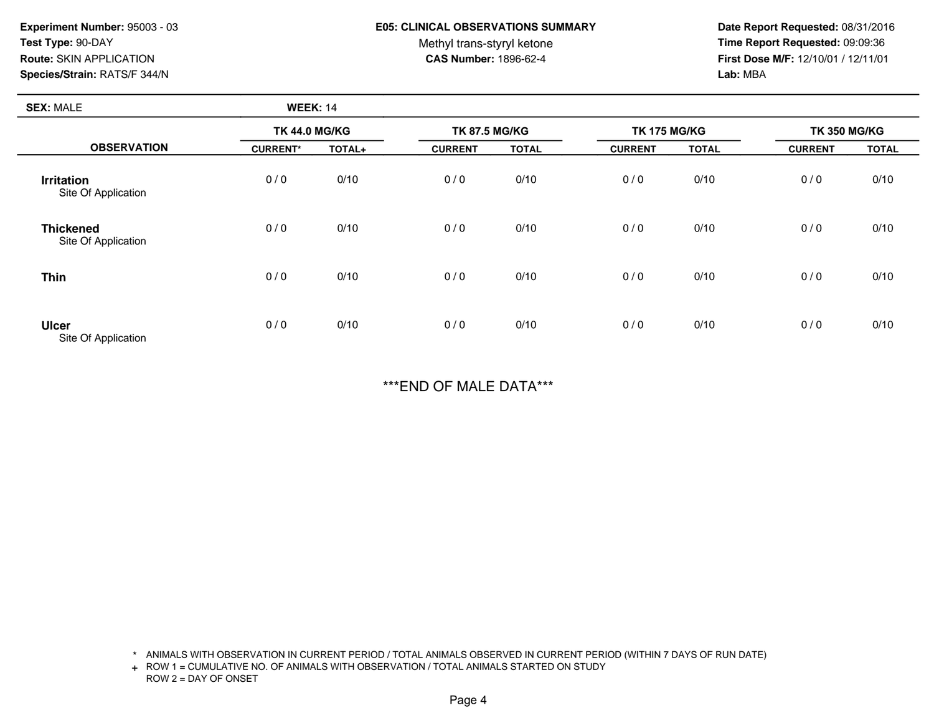#### **E05: CLINICAL OBSERVATIONS SUMMARY**

Methyl trans-styryl ketone<br>CAS Number: 1896-62-4

 **Date Report Requested:** 08/31/2016 **Time Report Requested:** 09:09:36 **First Dose M/F:** 12/10/01 / 12/11/01<br>Lab: MBA **Lab:** MBA

| <b>SEX: MALE</b>                         | <b>WEEK: 14</b>      |        |                      |              |                     |              |                     |              |
|------------------------------------------|----------------------|--------|----------------------|--------------|---------------------|--------------|---------------------|--------------|
|                                          | <b>TK 44.0 MG/KG</b> |        | <b>TK 87.5 MG/KG</b> |              | <b>TK 175 MG/KG</b> |              | <b>TK 350 MG/KG</b> |              |
| <b>OBSERVATION</b>                       | <b>CURRENT*</b>      | TOTAL+ | <b>CURRENT</b>       | <b>TOTAL</b> | <b>CURRENT</b>      | <b>TOTAL</b> | <b>CURRENT</b>      | <b>TOTAL</b> |
| <b>Irritation</b><br>Site Of Application | 0/0                  | 0/10   | 0/0                  | 0/10         | 0/0                 | 0/10         | 0/0                 | 0/10         |
| <b>Thickened</b><br>Site Of Application  | 0/0                  | 0/10   | 0/0                  | 0/10         | 0/0                 | 0/10         | 0/0                 | 0/10         |
| <b>Thin</b>                              | 0/0                  | 0/10   | 0/0                  | 0/10         | 0/0                 | 0/10         | 0/0                 | 0/10         |
| <b>Ulcer</b><br>Site Of Application      | 0/0                  | 0/10   | 0/0                  | 0/10         | 0/0                 | 0/10         | 0/0                 | 0/10         |

\*\*\*END OF MALE DATA\*\*\*

\* ANIMALS WITH OBSERVATION IN CURRENT PERIOD / TOTAL ANIMALS OBSERVED IN CURRENT PERIOD (WITHIN 7 DAYS OF RUN DATE)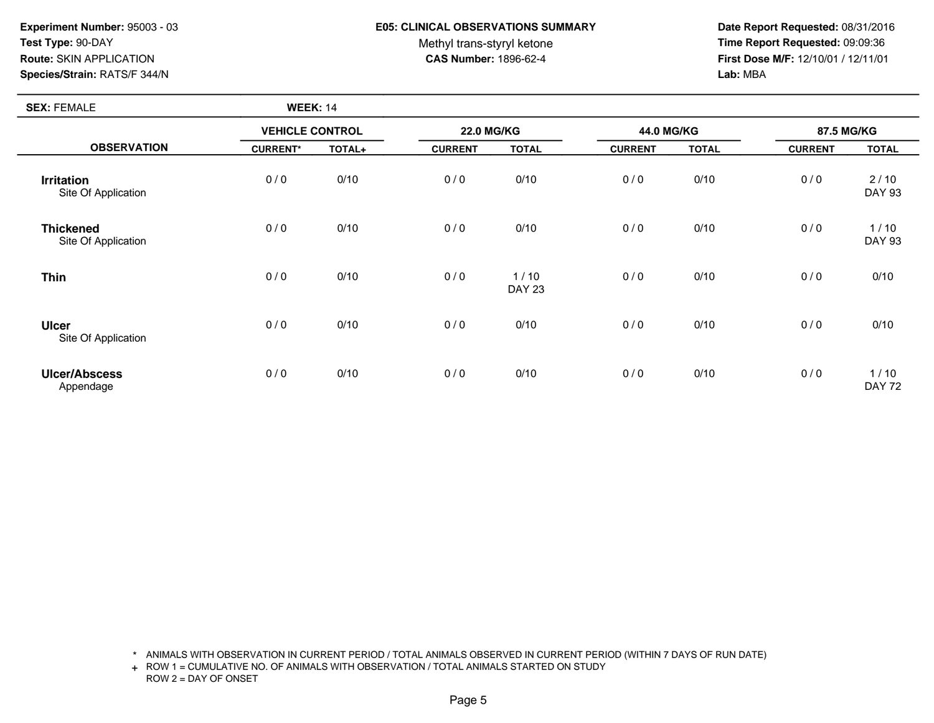**SEX:** FEMALE

## **E05: CLINICAL OBSERVATIONS SUMMARY**

Methyl trans-styryl ketone<br>CAS Number: 1896-62-4

 **Date Report Requested:** 08/31/2016 **Time Report Requested:** 09:09:36 **First Dose M/F:** 12/10/01 / 12/11/01<br>Lab: MBA **Lab:** MBA

| <b>SEX: FEMALE</b>                       | <b>WEEK: 14</b>        |        |                   |                       |                |              |                |                       |  |
|------------------------------------------|------------------------|--------|-------------------|-----------------------|----------------|--------------|----------------|-----------------------|--|
|                                          | <b>VEHICLE CONTROL</b> |        | <b>22.0 MG/KG</b> |                       |                | 44.0 MG/KG   |                | 87.5 MG/KG            |  |
| <b>OBSERVATION</b>                       | <b>CURRENT*</b>        | TOTAL+ | <b>CURRENT</b>    | <b>TOTAL</b>          | <b>CURRENT</b> | <b>TOTAL</b> | <b>CURRENT</b> | <b>TOTAL</b>          |  |
| <b>Irritation</b><br>Site Of Application | 0/0                    | 0/10   | 0/0               | 0/10                  | 0/0            | 0/10         | 0/0            | 2/10<br><b>DAY 93</b> |  |
| <b>Thickened</b><br>Site Of Application  | 0/0                    | 0/10   | 0/0               | 0/10                  | 0/0            | 0/10         | 0/0            | 1/10<br><b>DAY 93</b> |  |
| <b>Thin</b>                              | 0/0                    | 0/10   | 0/0               | 1/10<br><b>DAY 23</b> | 0/0            | 0/10         | 0/0            | 0/10                  |  |
| <b>Ulcer</b><br>Site Of Application      | 0/0                    | 0/10   | 0/0               | 0/10                  | 0/0            | 0/10         | 0/0            | 0/10                  |  |
| <b>Ulcer/Abscess</b><br>Appendage        | 0/0                    | 0/10   | 0/0               | 0/10                  | 0/0            | 0/10         | 0/0            | 1/10<br><b>DAY 72</b> |  |

\* ANIMALS WITH OBSERVATION IN CURRENT PERIOD / TOTAL ANIMALS OBSERVED IN CURRENT PERIOD (WITHIN 7 DAYS OF RUN DATE)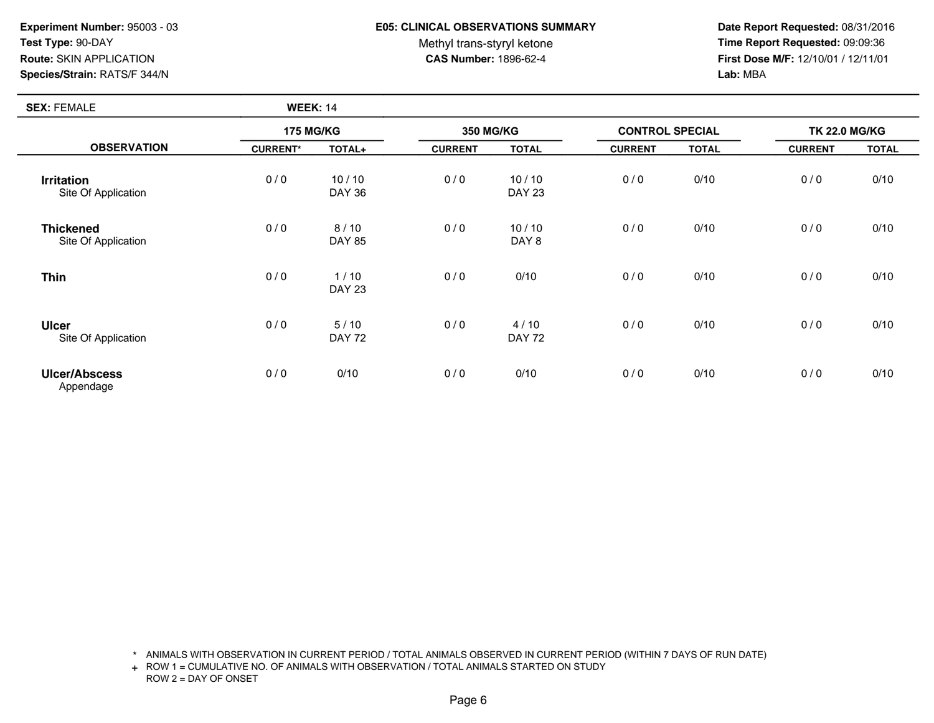**SEX:** FEMALE

### **E05: CLINICAL OBSERVATIONS SUMMARY**

Methyl trans-styryl ketone<br>CAS Number: 1896-62-4

 **Date Report Requested:** 08/31/2016 **Time Report Requested:** 09:09:36 **First Dose M/F:** 12/10/01 / 12/11/01<br>Lab: MBA **Lab:** MBA

| <b>SEX: FEMALE</b>                       | <b>WEEK: 14</b>  |                        |                |                        |                |                        |                |                      |  |
|------------------------------------------|------------------|------------------------|----------------|------------------------|----------------|------------------------|----------------|----------------------|--|
|                                          | <b>175 MG/KG</b> |                        |                | <b>350 MG/KG</b>       |                | <b>CONTROL SPECIAL</b> |                | <b>TK 22.0 MG/KG</b> |  |
| <b>OBSERVATION</b>                       | <b>CURRENT*</b>  | TOTAL+                 | <b>CURRENT</b> | <b>TOTAL</b>           | <b>CURRENT</b> | <b>TOTAL</b>           | <b>CURRENT</b> | <b>TOTAL</b>         |  |
| <b>Irritation</b><br>Site Of Application | 0/0              | 10/10<br><b>DAY 36</b> | 0/0            | 10/10<br><b>DAY 23</b> | 0/0            | 0/10                   | 0/0            | 0/10                 |  |
| <b>Thickened</b><br>Site Of Application  | 0/0              | 8/10<br><b>DAY 85</b>  | 0/0            | 10/10<br>DAY 8         | 0/0            | 0/10                   | 0/0            | 0/10                 |  |
| <b>Thin</b>                              | 0/0              | 1/10<br><b>DAY 23</b>  | 0/0            | 0/10                   | 0/0            | 0/10                   | 0/0            | 0/10                 |  |
| <b>Ulcer</b><br>Site Of Application      | 0/0              | 5/10<br><b>DAY 72</b>  | 0/0            | 4/10<br><b>DAY 72</b>  | 0/0            | 0/10                   | 0/0            | 0/10                 |  |
| <b>Ulcer/Abscess</b><br>Appendage        | 0/0              | 0/10                   | 0/0            | 0/10                   | 0/0            | 0/10                   | 0/0            | 0/10                 |  |

\* ANIMALS WITH OBSERVATION IN CURRENT PERIOD / TOTAL ANIMALS OBSERVED IN CURRENT PERIOD (WITHIN 7 DAYS OF RUN DATE)